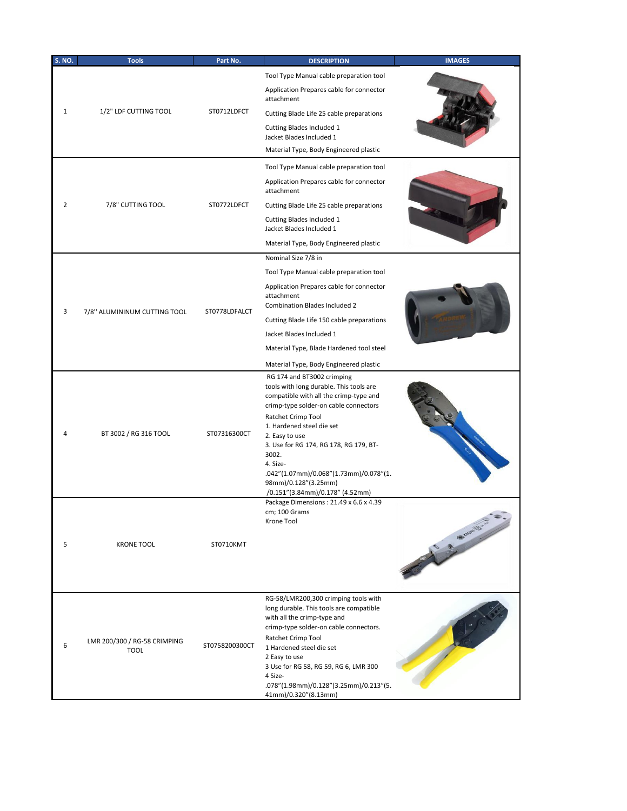| <b>S. NO.</b> | <b>Tools</b>                                | Part No.       | <b>DESCRIPTION</b>                                                                                                                                                                                                                                                                                                                                                                                | <b>IMAGES</b> |
|---------------|---------------------------------------------|----------------|---------------------------------------------------------------------------------------------------------------------------------------------------------------------------------------------------------------------------------------------------------------------------------------------------------------------------------------------------------------------------------------------------|---------------|
|               |                                             |                | Tool Type Manual cable preparation tool                                                                                                                                                                                                                                                                                                                                                           |               |
| 1             | 1/2" LDF CUTTING TOOL                       | ST0712LDFCT    | Application Prepares cable for connector<br>attachment                                                                                                                                                                                                                                                                                                                                            |               |
|               |                                             |                | Cutting Blade Life 25 cable preparations                                                                                                                                                                                                                                                                                                                                                          |               |
|               |                                             |                | Cutting Blades Included 1<br>Jacket Blades Included 1                                                                                                                                                                                                                                                                                                                                             |               |
|               |                                             |                | Material Type, Body Engineered plastic                                                                                                                                                                                                                                                                                                                                                            |               |
|               | 7/8" CUTTING TOOL                           | ST0772LDFCT    | Tool Type Manual cable preparation tool                                                                                                                                                                                                                                                                                                                                                           |               |
|               |                                             |                | Application Prepares cable for connector<br>attachment                                                                                                                                                                                                                                                                                                                                            |               |
| 2             |                                             |                | Cutting Blade Life 25 cable preparations                                                                                                                                                                                                                                                                                                                                                          |               |
|               |                                             |                | Cutting Blades Included 1<br>Jacket Blades Included 1                                                                                                                                                                                                                                                                                                                                             |               |
|               |                                             |                | Material Type, Body Engineered plastic                                                                                                                                                                                                                                                                                                                                                            |               |
|               |                                             |                | Nominal Size 7/8 in                                                                                                                                                                                                                                                                                                                                                                               |               |
|               |                                             |                | Tool Type Manual cable preparation tool                                                                                                                                                                                                                                                                                                                                                           |               |
|               |                                             |                | Application Prepares cable for connector<br>attachment<br><b>Combination Blades Included 2</b>                                                                                                                                                                                                                                                                                                    |               |
| 3             | 7/8" ALUMININUM CUTTING TOOL                | ST0778LDFALCT  | Cutting Blade Life 150 cable preparations                                                                                                                                                                                                                                                                                                                                                         |               |
|               |                                             |                | Jacket Blades Included 1                                                                                                                                                                                                                                                                                                                                                                          |               |
|               |                                             |                | Material Type, Blade Hardened tool steel                                                                                                                                                                                                                                                                                                                                                          |               |
|               |                                             |                | Material Type, Body Engineered plastic                                                                                                                                                                                                                                                                                                                                                            |               |
| 4             | BT 3002 / RG 316 TOOL                       | ST07316300CT   | RG 174 and BT3002 crimping<br>tools with long durable. This tools are<br>compatible with all the crimp-type and<br>crimp-type solder-on cable connectors<br>Ratchet Crimp Tool<br>1. Hardened steel die set<br>2. Easy to use<br>3. Use for RG 174, RG 178, RG 179, BT-<br>3002.<br>4. Size-<br>.042"(1.07mm)/0.068"(1.73mm)/0.078"(1.<br>98mm)/0.128"(3.25mm)<br>/0.151"(3.84mm)/0.178" (4.52mm) |               |
| 5             | <b>KRONE TOOL</b>                           | ST0710KMT      | Package Dimensions: 21.49 x 6.6 x 4.39<br>cm; 100 Grams<br>Krone Tool                                                                                                                                                                                                                                                                                                                             | S . S. Waynes |
| 6             | LMR 200/300 / RG-58 CRIMPING<br><b>TOOL</b> | ST0758200300CT | RG-58/LMR200,300 crimping tools with<br>long durable. This tools are compatible<br>with all the crimp-type and<br>crimp-type solder-on cable connectors.<br>Ratchet Crimp Tool<br>1 Hardened steel die set<br>2 Easy to use<br>3 Use for RG 58, RG 59, RG 6, LMR 300<br>4 Size-<br>.078"(1.98mm)/0.128"(3.25mm)/0.213"(5.<br>41mm)/0.320"(8.13mm)                                                 |               |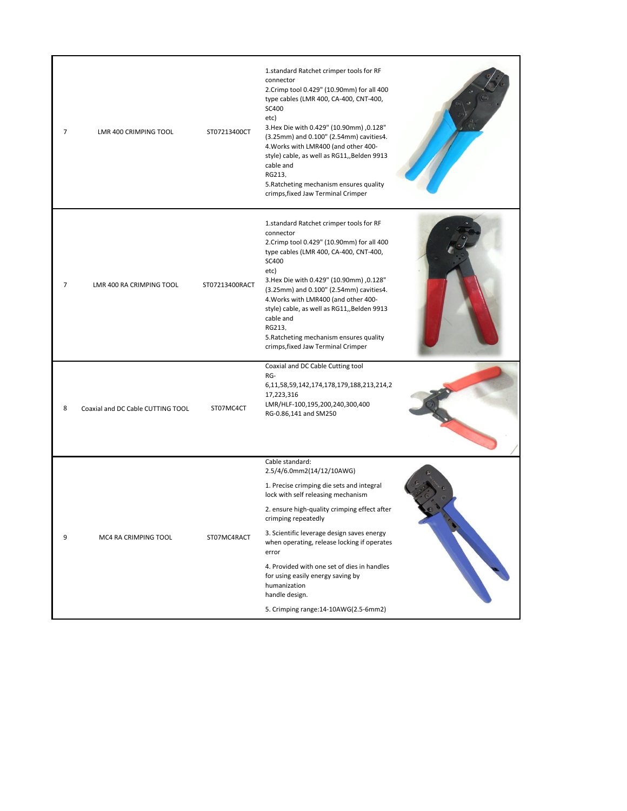| 7              | LMR 400 CRIMPING TOOL             | ST07213400CT   | 1.standard Ratchet crimper tools for RF<br>connector<br>2. Crimp tool 0.429" (10.90mm) for all 400<br>type cables (LMR 400, CA-400, CNT-400,<br>SC400<br>etc)<br>3. Hex Die with 0.429" (10.90mm) ,0.128"<br>(3.25mm) and 0.100" (2.54mm) cavities4.<br>4. Works with LMR400 (and other 400-<br>style) cable, as well as RG11,, Belden 9913<br>cable and<br>RG213,<br>5. Ratcheting mechanism ensures quality<br>crimps, fixed Jaw Terminal Crimper |                                                                                                                                                                                                                                      |
|----------------|-----------------------------------|----------------|-----------------------------------------------------------------------------------------------------------------------------------------------------------------------------------------------------------------------------------------------------------------------------------------------------------------------------------------------------------------------------------------------------------------------------------------------------|--------------------------------------------------------------------------------------------------------------------------------------------------------------------------------------------------------------------------------------|
| $\overline{7}$ | LMR 400 RA CRIMPING TOOL          | ST07213400RACT | 1.standard Ratchet crimper tools for RF<br>connector<br>2. Crimp tool 0.429" (10.90mm) for all 400<br>type cables (LMR 400, CA-400, CNT-400,<br>SC400<br>etc)<br>3. Hex Die with 0.429" (10.90mm) ,0.128"<br>(3.25mm) and 0.100" (2.54mm) cavities4.<br>4. Works with LMR400 (and other 400-<br>style) cable, as well as RG11,, Belden 9913<br>cable and<br>RG213,<br>5. Ratcheting mechanism ensures quality<br>crimps, fixed Jaw Terminal Crimper |                                                                                                                                                                                                                                      |
| 8              | Coaxial and DC Cable CUTTING TOOL | ST07MC4CT      | Coaxial and DC Cable Cutting tool<br>RG-<br>6, 11, 58, 59, 142, 174, 178, 179, 188, 213, 214, 2<br>17,223,316<br>LMR/HLF-100,195,200,240,300,400<br>RG-0.86,141 and SM250                                                                                                                                                                                                                                                                           |                                                                                                                                                                                                                                      |
| 9              | MC4 RA CRIMPING TOOL              | ST07MC4RACT    | Cable standard:<br>2.5/4/6.0mm2(14/12/10AWG)<br>1. Precise crimping die sets and integral<br>lock with self releasing mechanism                                                                                                                                                                                                                                                                                                                     |                                                                                                                                                                                                                                      |
|                |                                   |                | 2. ensure high-quality crimping effect after<br>crimping repeatedly                                                                                                                                                                                                                                                                                                                                                                                 | <b>Contract on the Contract of Contract on the Contract of Contract on the Contract of Contract on the Contract on the Contract of Contract on the Contract of Contract on the Contract of Contract on the Contract of Contract </b> |
|                |                                   |                | 3. Scientific leverage design saves energy<br>when operating, release locking if operates<br>error                                                                                                                                                                                                                                                                                                                                                  |                                                                                                                                                                                                                                      |
|                |                                   |                | 4. Provided with one set of dies in handles<br>for using easily energy saving by<br>humanization<br>handle design.                                                                                                                                                                                                                                                                                                                                  |                                                                                                                                                                                                                                      |
|                |                                   |                | 5. Crimping range: 14-10AWG(2.5-6mm2)                                                                                                                                                                                                                                                                                                                                                                                                               |                                                                                                                                                                                                                                      |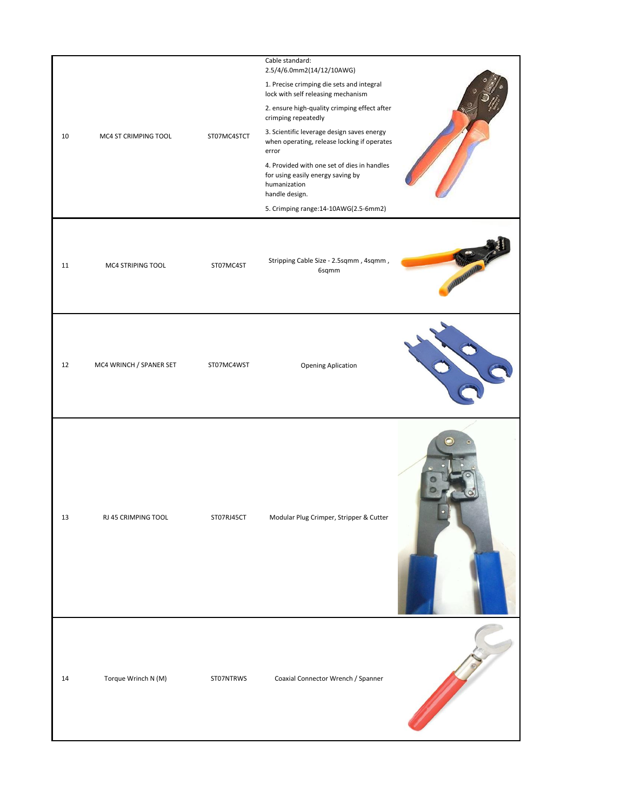| 10 | MC4 ST CRIMPING TOOL    | ST07MC4STCT | Cable standard:<br>2.5/4/6.0mm2(14/12/10AWG)<br>1. Precise crimping die sets and integral<br>lock with self releasing mechanism<br>2. ensure high-quality crimping effect after<br>crimping repeatedly<br>3. Scientific leverage design saves energy<br>when operating, release locking if operates<br>error<br>4. Provided with one set of dies in handles<br>for using easily energy saving by<br>humanization<br>handle design.<br>5. Crimping range:14-10AWG(2.5-6mm2) |  |
|----|-------------------------|-------------|----------------------------------------------------------------------------------------------------------------------------------------------------------------------------------------------------------------------------------------------------------------------------------------------------------------------------------------------------------------------------------------------------------------------------------------------------------------------------|--|
| 11 | MC4 STRIPING TOOL       | ST07MC4ST   | Stripping Cable Size - 2.5sqmm, 4sqmm,<br>6sqmm                                                                                                                                                                                                                                                                                                                                                                                                                            |  |
| 12 | MC4 WRINCH / SPANER SET | ST07MC4WST  | <b>Opening Aplication</b>                                                                                                                                                                                                                                                                                                                                                                                                                                                  |  |
| 13 | RJ 45 CRIMPING TOOL     | ST07RJ45CT  | Modular Plug Crimper, Stripper & Cutter                                                                                                                                                                                                                                                                                                                                                                                                                                    |  |
| 14 | Torque Wrinch N (M)     | ST07NTRWS   | Coaxial Connector Wrench / Spanner                                                                                                                                                                                                                                                                                                                                                                                                                                         |  |